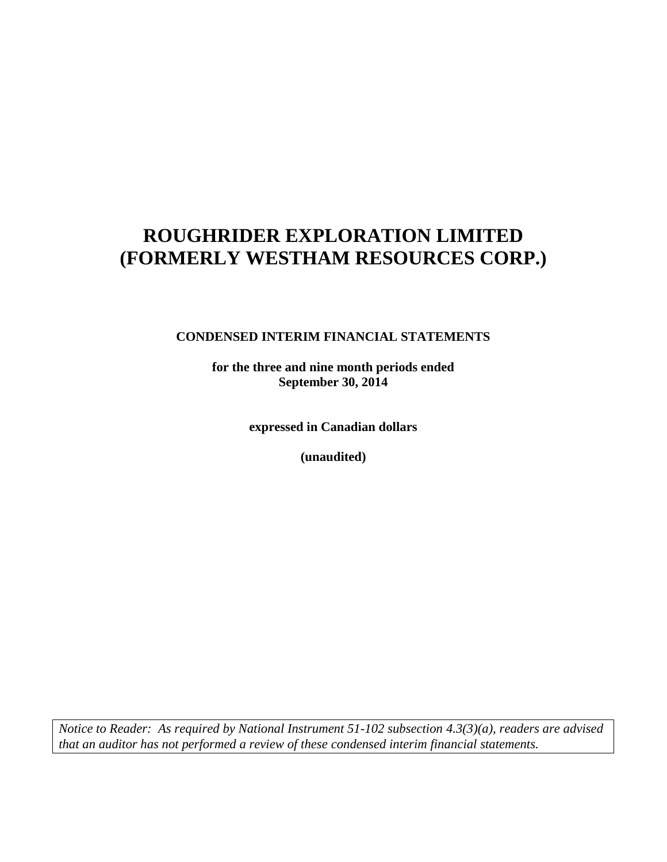### **CONDENSED INTERIM FINANCIAL STATEMENTS**

**for the three and nine month periods ended September 30, 2014**

**expressed in Canadian dollars**

**(unaudited)**

*Notice to Reader: As required by National Instrument 51-102 subsection 4.3(3)(a), readers are advised that an auditor has not performed a review of these condensed interim financial statements.*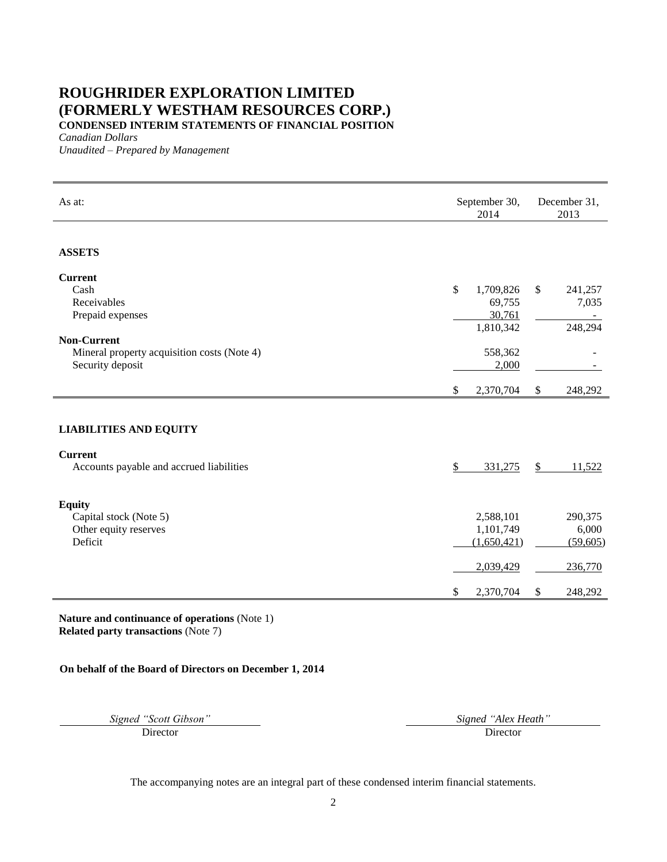### **ROUGHRIDER EXPLORATION LIMITED (FORMERLY WESTHAM RESOURCES CORP.) CONDENSED INTERIM STATEMENTS OF FINANCIAL POSITION**

*Canadian Dollars*

*Unaudited – Prepared by Management*

| As at:                                                                                | September 30,<br>2014                              | December 31,<br>2013                        |
|---------------------------------------------------------------------------------------|----------------------------------------------------|---------------------------------------------|
| <b>ASSETS</b>                                                                         |                                                    |                                             |
| <b>Current</b><br>Cash<br>Receivables<br>Prepaid expenses                             | \$<br>1,709,826<br>69,755<br>30,761<br>1,810,342   | $\mathbb{S}$<br>241,257<br>7,035<br>248,294 |
| <b>Non-Current</b><br>Mineral property acquisition costs (Note 4)<br>Security deposit | 558,362<br>2,000                                   |                                             |
|                                                                                       | \$<br>2,370,704                                    | \$<br>248,292                               |
| <b>LIABILITIES AND EQUITY</b>                                                         |                                                    |                                             |
| <b>Current</b><br>Accounts payable and accrued liabilities                            | \$<br>331,275                                      | $\mathbb{S}$<br>11,522                      |
| <b>Equity</b><br>Capital stock (Note 5)<br>Other equity reserves<br>Deficit           | 2,588,101<br>1,101,749<br>(1,650,421)<br>2,039,429 | 290,375<br>6,000<br>(59,605)<br>236,770     |
|                                                                                       | \$<br>2,370,704                                    | \$<br>248,292                               |

**Nature and continuance of operations** (Note 1) **Related party transactions** (Note 7)

### **On behalf of the Board of Directors on December 1, 2014**

*Signed "Scott Gibson" Signed "Alex Heath"*

Director Director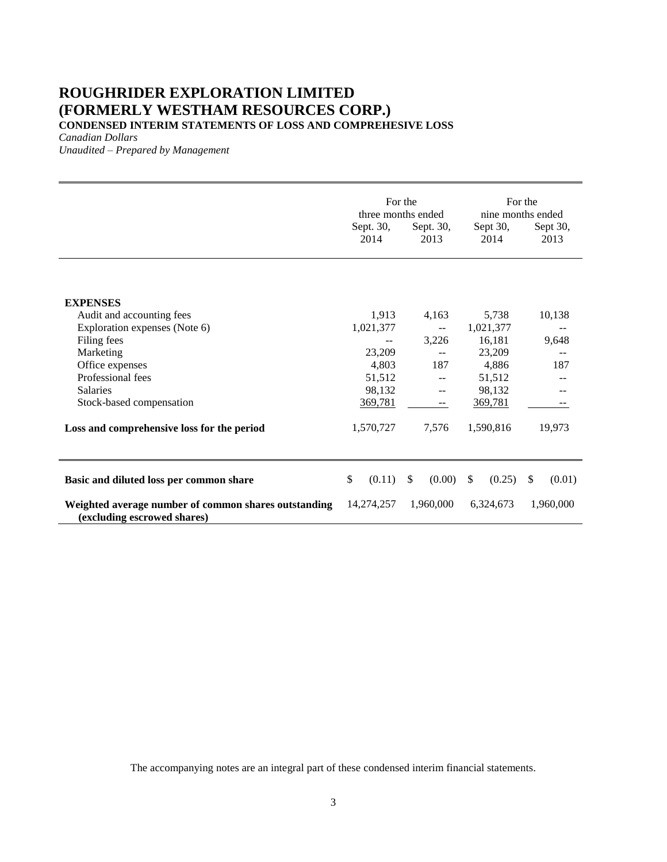**CONDENSED INTERIM STATEMENTS OF LOSS AND COMPREHESIVE LOSS**

*Canadian Dollars*

*Unaudited – Prepared by Management*

|                                                                                     | Sept. 30,<br>2014 | For the<br>three months ended<br>Sept. 30,<br>2013 | Sept 30,<br>2014 | For the<br>nine months ended<br>Sept 30,<br>2013 |
|-------------------------------------------------------------------------------------|-------------------|----------------------------------------------------|------------------|--------------------------------------------------|
|                                                                                     |                   |                                                    |                  |                                                  |
| <b>EXPENSES</b>                                                                     |                   |                                                    |                  |                                                  |
| Audit and accounting fees                                                           | 1,913             | 4,163                                              | 5,738            | 10,138                                           |
| Exploration expenses (Note 6)                                                       | 1,021,377         | $-$                                                | 1,021,377        |                                                  |
| Filing fees                                                                         |                   | 3,226                                              | 16,181           | 9,648                                            |
| Marketing                                                                           | 23,209            | $\overline{a}$                                     | 23,209           |                                                  |
| Office expenses                                                                     | 4,803             | 187                                                | 4,886            | 187                                              |
| Professional fees                                                                   | 51,512            |                                                    | 51,512           |                                                  |
| <b>Salaries</b>                                                                     | 98,132            |                                                    | 98,132           |                                                  |
| Stock-based compensation                                                            | 369,781           | $- -$                                              | 369,781          |                                                  |
| Loss and comprehensive loss for the period                                          | 1,570,727         | 7,576                                              | 1,590,816        | 19,973                                           |
| Basic and diluted loss per common share                                             | \$<br>(0.11)      | $\mathbb{S}$<br>(0.00)                             | (0.25)<br>\$     | \$<br>(0.01)                                     |
| Weighted average number of common shares outstanding<br>(excluding escrowed shares) | 14,274,257        | 1,960,000                                          | 6,324,673        | 1,960,000                                        |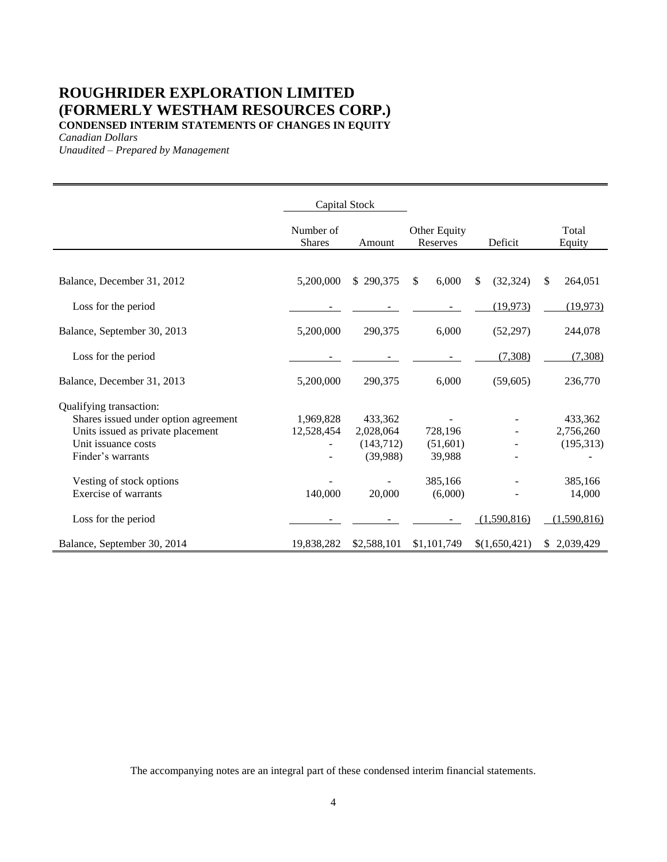### **ROUGHRIDER EXPLORATION LIMITED (FORMERLY WESTHAM RESOURCES CORP.) CONDENSED INTERIM STATEMENTS OF CHANGES IN EQUITY**

*Canadian Dollars*

*Unaudited – Prepared by Management*

|                                      |                            | Capital Stock |                          |                 |                 |
|--------------------------------------|----------------------------|---------------|--------------------------|-----------------|-----------------|
|                                      | Number of<br><b>Shares</b> | Amount        | Other Equity<br>Reserves | Deficit         | Total<br>Equity |
|                                      |                            |               |                          |                 |                 |
| Balance, December 31, 2012           | 5,200,000                  | \$290,375     | 6,000<br>\$              | \$<br>(32, 324) | \$<br>264,051   |
| Loss for the period                  |                            |               |                          | (19, 973)       | (19, 973)       |
| Balance, September 30, 2013          | 5,200,000                  | 290,375       | 6,000                    | (52, 297)       | 244,078         |
| Loss for the period                  |                            |               |                          | (7,308)         | (7,308)         |
| Balance, December 31, 2013           | 5,200,000                  | 290,375       | 6,000                    | (59,605)        | 236,770         |
| Qualifying transaction:              |                            |               |                          |                 |                 |
| Shares issued under option agreement | 1,969,828                  | 433,362       |                          |                 | 433,362         |
| Units issued as private placement    | 12,528,454                 | 2,028,064     | 728,196                  |                 | 2,756,260       |
| Unit issuance costs                  |                            | (143, 712)    | (51,601)                 |                 | (195, 313)      |
| Finder's warrants                    |                            | (39,988)      | 39,988                   |                 |                 |
| Vesting of stock options             |                            |               | 385,166                  |                 | 385,166         |
| Exercise of warrants                 | 140,000                    | 20,000        | (6,000)                  |                 | 14,000          |
| Loss for the period                  |                            |               |                          | (1,590,816)     | (1,590,816)     |
| Balance, September 30, 2014          | 19,838,282                 | \$2,588,101   | \$1,101,749              | \$(1,650,421)   | \$2,039,429     |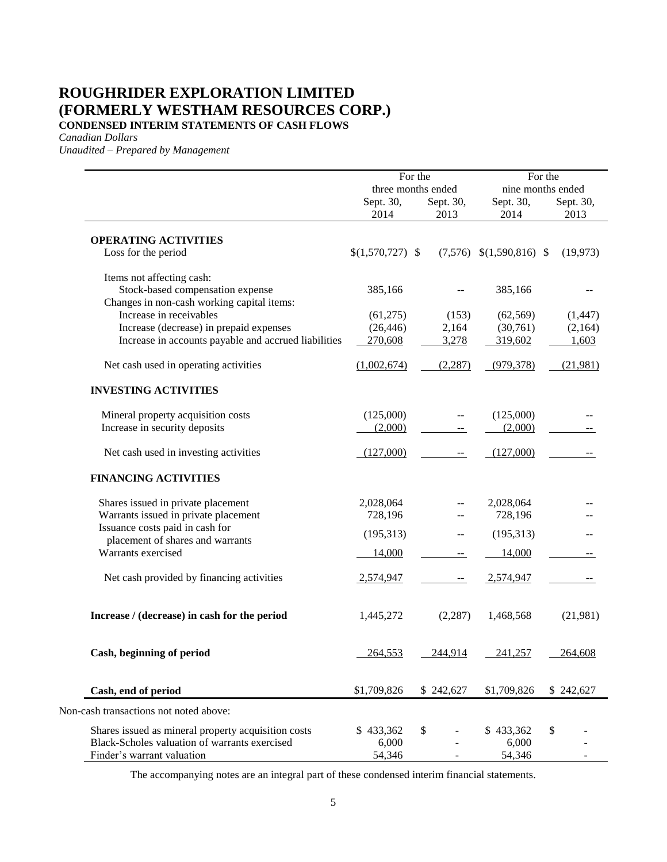### **ROUGHRIDER EXPLORATION LIMITED (FORMERLY WESTHAM RESOURCES CORP.) CONDENSED INTERIM STATEMENTS OF CASH FLOWS**

*Canadian Dollars*

*Unaudited – Prepared by Management*

|                                                      |                    | For the                         |                               | For the                        |
|------------------------------------------------------|--------------------|---------------------------------|-------------------------------|--------------------------------|
|                                                      | Sept. 30,          | three months ended<br>Sept. 30, | Sept. 30,                     | nine months ended<br>Sept. 30, |
|                                                      | 2014               | 2013                            | 2014                          | 2013                           |
| <b>OPERATING ACTIVITIES</b>                          |                    |                                 |                               |                                |
| Loss for the period                                  | $$(1,570,727)$ \\$ |                                 | $(7,576)$ \$ $(1,590,816)$ \$ | (19, 973)                      |
| Items not affecting cash:                            |                    |                                 |                               |                                |
| Stock-based compensation expense                     | 385,166            |                                 | 385,166                       |                                |
| Changes in non-cash working capital items:           |                    |                                 |                               |                                |
| Increase in receivables                              | (61,275)           | (153)                           | (62, 569)                     | (1, 447)                       |
| Increase (decrease) in prepaid expenses              | (26, 446)          | 2,164                           | (30,761)                      | (2,164)                        |
| Increase in accounts payable and accrued liabilities | 270,608            | 3,278                           | 319,602                       | 1,603                          |
| Net cash used in operating activities                | (1,002,674)        | (2, 287)                        | (979, 378)                    | (21,981)                       |
| <b>INVESTING ACTIVITIES</b>                          |                    |                                 |                               |                                |
| Mineral property acquisition costs                   | (125,000)          | --                              | (125,000)                     |                                |
| Increase in security deposits                        | (2,000)            |                                 | (2,000)                       |                                |
| Net cash used in investing activities                | (127,000)          |                                 | (127,000)                     |                                |
| <b>FINANCING ACTIVITIES</b>                          |                    |                                 |                               |                                |
| Shares issued in private placement                   | 2,028,064          |                                 | 2,028,064                     |                                |
| Warrants issued in private placement                 | 728,196            |                                 | 728,196                       |                                |
| Issuance costs paid in cash for                      | (195,313)          |                                 | (195,313)                     |                                |
| placement of shares and warrants                     |                    |                                 |                               |                                |
| Warrants exercised                                   | 14,000             |                                 | 14,000                        |                                |
| Net cash provided by financing activities            | 2,574,947          |                                 | 2,574,947                     |                                |
| Increase / (decrease) in cash for the period         | 1,445,272          | (2, 287)                        | 1,468,568                     | (21,981)                       |
| Cash, beginning of period                            | 264,553            | 244,914                         | 241,257                       | 264,608                        |
| Cash, end of period                                  | \$1,709,826        | \$242,627                       | \$1,709,826                   | \$242,627                      |
| Non-cash transactions not noted above:               |                    |                                 |                               |                                |
| Shares issued as mineral property acquisition costs  | \$433,362          | \$                              | \$433,362                     | \$                             |
| Black-Scholes valuation of warrants exercised        | 6,000              |                                 | 6,000                         |                                |
| Finder's warrant valuation                           | 54,346             |                                 | 54,346                        |                                |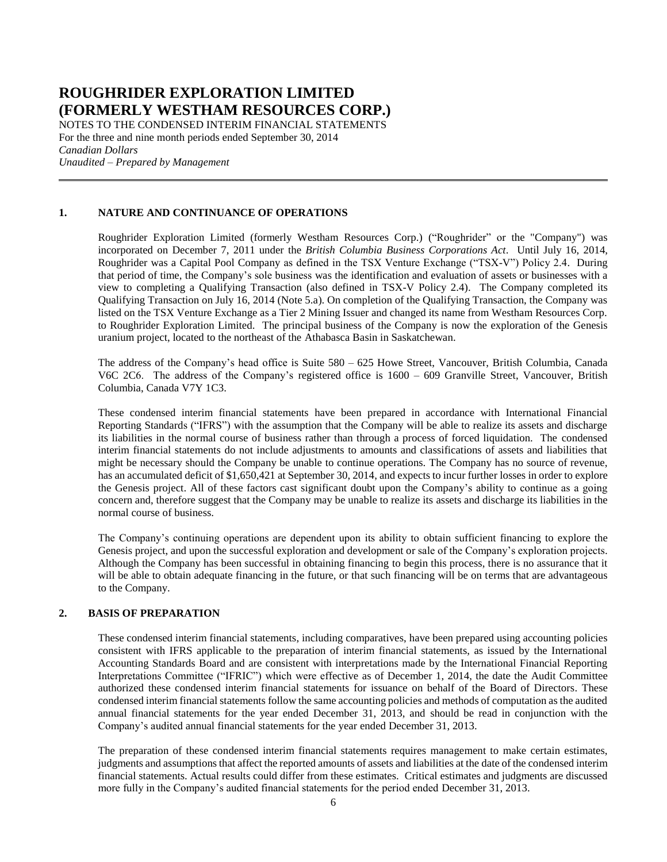NOTES TO THE CONDENSED INTERIM FINANCIAL STATEMENTS For the three and nine month periods ended September 30, 2014 *Canadian Dollars Unaudited – Prepared by Management*

### **1. NATURE AND CONTINUANCE OF OPERATIONS**

Roughrider Exploration Limited (formerly Westham Resources Corp.) ("Roughrider" or the "Company") was incorporated on December 7, 2011 under the *British Columbia Business Corporations Act*. Until July 16, 2014, Roughrider was a Capital Pool Company as defined in the TSX Venture Exchange ("TSX-V") Policy 2.4. During that period of time, the Company's sole business was the identification and evaluation of assets or businesses with a view to completing a Qualifying Transaction (also defined in TSX-V Policy 2.4). The Company completed its Qualifying Transaction on July 16, 2014 (Note 5.a). On completion of the Qualifying Transaction, the Company was listed on the TSX Venture Exchange as a Tier 2 Mining Issuer and changed its name from Westham Resources Corp. to Roughrider Exploration Limited. The principal business of the Company is now the exploration of the Genesis uranium project, located to the northeast of the Athabasca Basin in Saskatchewan.

The address of the Company's head office is Suite 580 – 625 Howe Street, Vancouver, British Columbia, Canada V6C 2C6. The address of the Company's registered office is 1600 – 609 Granville Street, Vancouver, British Columbia, Canada V7Y 1C3.

These condensed interim financial statements have been prepared in accordance with International Financial Reporting Standards ("IFRS") with the assumption that the Company will be able to realize its assets and discharge its liabilities in the normal course of business rather than through a process of forced liquidation. The condensed interim financial statements do not include adjustments to amounts and classifications of assets and liabilities that might be necessary should the Company be unable to continue operations. The Company has no source of revenue, has an accumulated deficit of \$1,650,421 at September 30, 2014, and expects to incur further losses in order to explore the Genesis project. All of these factors cast significant doubt upon the Company's ability to continue as a going concern and, therefore suggest that the Company may be unable to realize its assets and discharge its liabilities in the normal course of business.

The Company's continuing operations are dependent upon its ability to obtain sufficient financing to explore the Genesis project, and upon the successful exploration and development or sale of the Company's exploration projects. Although the Company has been successful in obtaining financing to begin this process, there is no assurance that it will be able to obtain adequate financing in the future, or that such financing will be on terms that are advantageous to the Company.

### **2. BASIS OF PREPARATION**

These condensed interim financial statements, including comparatives, have been prepared using accounting policies consistent with IFRS applicable to the preparation of interim financial statements, as issued by the International Accounting Standards Board and are consistent with interpretations made by the International Financial Reporting Interpretations Committee ("IFRIC") which were effective as of December 1, 2014, the date the Audit Committee authorized these condensed interim financial statements for issuance on behalf of the Board of Directors. These condensed interim financial statements follow the same accounting policies and methods of computation as the audited annual financial statements for the year ended December 31, 2013, and should be read in conjunction with the Company's audited annual financial statements for the year ended December 31, 2013.

The preparation of these condensed interim financial statements requires management to make certain estimates, judgments and assumptions that affect the reported amounts of assets and liabilities at the date of the condensed interim financial statements. Actual results could differ from these estimates. Critical estimates and judgments are discussed more fully in the Company's audited financial statements for the period ended December 31, 2013.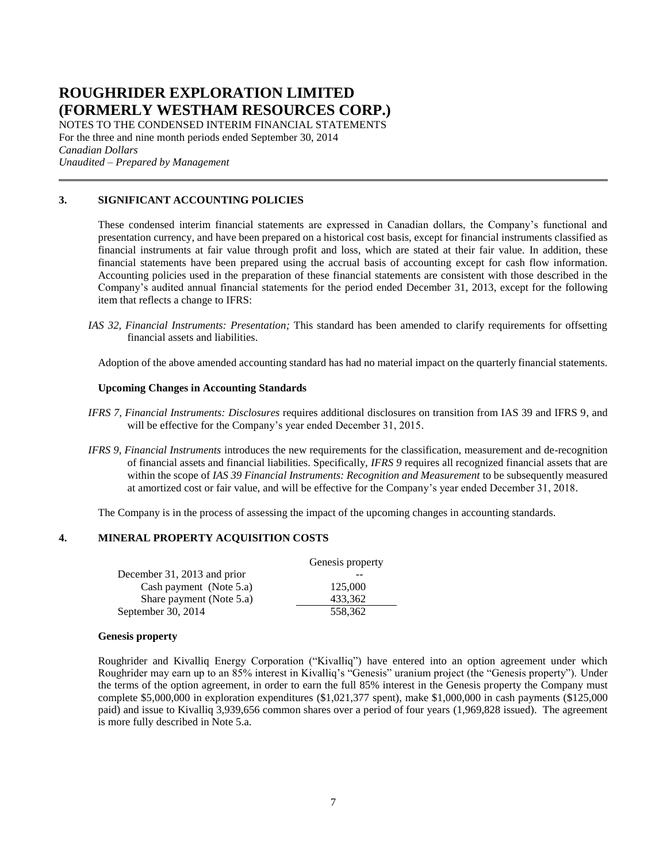NOTES TO THE CONDENSED INTERIM FINANCIAL STATEMENTS For the three and nine month periods ended September 30, 2014 *Canadian Dollars Unaudited – Prepared by Management*

### **3. SIGNIFICANT ACCOUNTING POLICIES**

These condensed interim financial statements are expressed in Canadian dollars, the Company's functional and presentation currency, and have been prepared on a historical cost basis, except for financial instruments classified as financial instruments at fair value through profit and loss, which are stated at their fair value. In addition, these financial statements have been prepared using the accrual basis of accounting except for cash flow information. Accounting policies used in the preparation of these financial statements are consistent with those described in the Company's audited annual financial statements for the period ended December 31, 2013, except for the following item that reflects a change to IFRS:

*IAS 32, Financial Instruments: Presentation;* This standard has been amended to clarify requirements for offsetting financial assets and liabilities.

Adoption of the above amended accounting standard has had no material impact on the quarterly financial statements.

### **Upcoming Changes in Accounting Standards**

- *IFRS 7, Financial Instruments: Disclosures* requires additional disclosures on transition from IAS 39 and IFRS 9, and will be effective for the Company's year ended December 31, 2015.
- *IFRS 9, Financial Instruments* introduces the new requirements for the classification, measurement and de-recognition of financial assets and financial liabilities. Specifically, *IFRS 9* requires all recognized financial assets that are within the scope of *IAS 39 Financial Instruments: Recognition and Measurement* to be subsequently measured at amortized cost or fair value, and will be effective for the Company's year ended December 31, 2018.

The Company is in the process of assessing the impact of the upcoming changes in accounting standards.

### **4. MINERAL PROPERTY ACQUISITION COSTS**

|                             | Genesis property |
|-----------------------------|------------------|
| December 31, 2013 and prior |                  |
| Cash payment (Note 5.a)     | 125,000          |
| Share payment (Note 5.a)    | 433.362          |
| September 30, 2014          | 558,362          |

#### **Genesis property**

Roughrider and Kivalliq Energy Corporation ("Kivalliq") have entered into an option agreement under which Roughrider may earn up to an 85% interest in Kivalliq's "Genesis" uranium project (the "Genesis property"). Under the terms of the option agreement, in order to earn the full 85% interest in the Genesis property the Company must complete \$5,000,000 in exploration expenditures (\$1,021,377 spent), make \$1,000,000 in cash payments (\$125,000 paid) and issue to Kivalliq 3,939,656 common shares over a period of four years (1,969,828 issued). The agreement is more fully described in Note 5.a.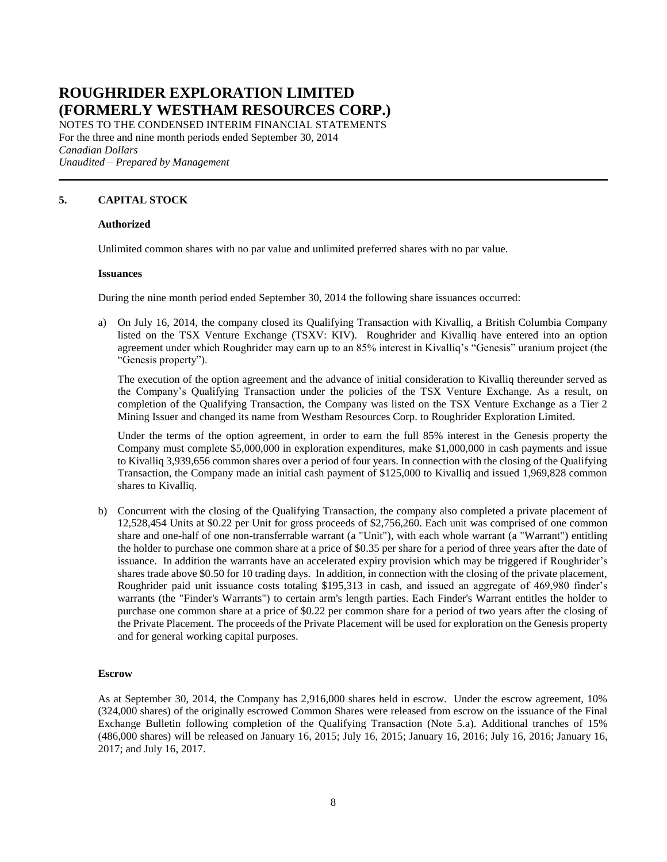NOTES TO THE CONDENSED INTERIM FINANCIAL STATEMENTS For the three and nine month periods ended September 30, 2014 *Canadian Dollars Unaudited – Prepared by Management*

### **5. CAPITAL STOCK**

### **Authorized**

Unlimited common shares with no par value and unlimited preferred shares with no par value.

#### **Issuances**

During the nine month period ended September 30, 2014 the following share issuances occurred:

a) On July 16, 2014, the company closed its Qualifying Transaction with Kivalliq, a British Columbia Company listed on the TSX Venture Exchange (TSXV: KIV). Roughrider and Kivalliq have entered into an option agreement under which Roughrider may earn up to an 85% interest in Kivalliq's "Genesis" uranium project (the "Genesis property").

The execution of the option agreement and the advance of initial consideration to Kivalliq thereunder served as the Company's Qualifying Transaction under the policies of the TSX Venture Exchange. As a result, on completion of the Qualifying Transaction, the Company was listed on the TSX Venture Exchange as a Tier 2 Mining Issuer and changed its name from Westham Resources Corp. to Roughrider Exploration Limited.

Under the terms of the option agreement, in order to earn the full 85% interest in the Genesis property the Company must complete \$5,000,000 in exploration expenditures, make \$1,000,000 in cash payments and issue to Kivalliq 3,939,656 common shares over a period of four years. In connection with the closing of the Qualifying Transaction, the Company made an initial cash payment of \$125,000 to Kivalliq and issued 1,969,828 common shares to Kivalliq.

b) Concurrent with the closing of the Qualifying Transaction, the company also completed a private placement of 12,528,454 Units at \$0.22 per Unit for gross proceeds of \$2,756,260. Each unit was comprised of one common share and one-half of one non-transferrable warrant (a "Unit"), with each whole warrant (a "Warrant") entitling the holder to purchase one common share at a price of \$0.35 per share for a period of three years after the date of issuance. In addition the warrants have an accelerated expiry provision which may be triggered if Roughrider's shares trade above \$0.50 for 10 trading days. In addition, in connection with the closing of the private placement, Roughrider paid unit issuance costs totaling \$195,313 in cash, and issued an aggregate of 469,980 finder's warrants (the "Finder's Warrants") to certain arm's length parties. Each Finder's Warrant entitles the holder to purchase one common share at a price of \$0.22 per common share for a period of two years after the closing of the Private Placement. The proceeds of the Private Placement will be used for exploration on the Genesis property and for general working capital purposes.

### **Escrow**

As at September 30, 2014, the Company has 2,916,000 shares held in escrow. Under the escrow agreement, 10% (324,000 shares) of the originally escrowed Common Shares were released from escrow on the issuance of the Final Exchange Bulletin following completion of the Qualifying Transaction (Note 5.a). Additional tranches of 15% (486,000 shares) will be released on January 16, 2015; July 16, 2015; January 16, 2016; July 16, 2016; January 16, 2017; and July 16, 2017.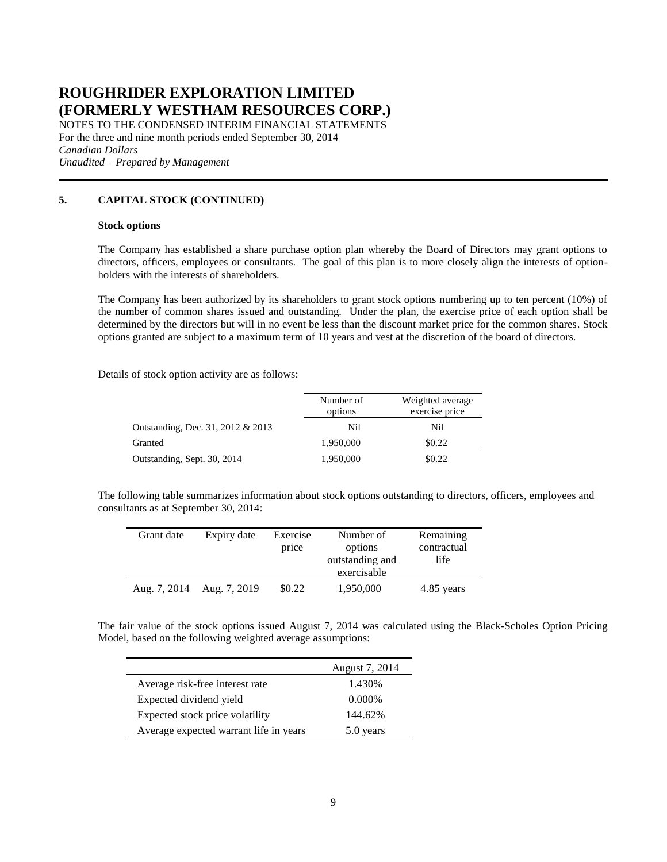NOTES TO THE CONDENSED INTERIM FINANCIAL STATEMENTS For the three and nine month periods ended September 30, 2014 *Canadian Dollars Unaudited – Prepared by Management*

### **5. CAPITAL STOCK (CONTINUED)**

#### **Stock options**

The Company has established a share purchase option plan whereby the Board of Directors may grant options to directors, officers, employees or consultants. The goal of this plan is to more closely align the interests of optionholders with the interests of shareholders.

The Company has been authorized by its shareholders to grant stock options numbering up to ten percent (10%) of the number of common shares issued and outstanding. Under the plan, the exercise price of each option shall be determined by the directors but will in no event be less than the discount market price for the common shares. Stock options granted are subject to a maximum term of 10 years and vest at the discretion of the board of directors.

Details of stock option activity are as follows:

|                                   | Number of<br>options | Weighted average<br>exercise price |
|-----------------------------------|----------------------|------------------------------------|
| Outstanding, Dec. 31, 2012 & 2013 | Nil                  | Nil                                |
| Granted                           | 1,950,000            | \$0.22                             |
| Outstanding, Sept. 30, 2014       | 1,950,000            | \$0.22                             |

The following table summarizes information about stock options outstanding to directors, officers, employees and consultants as at September 30, 2014:

| Grant date   | Expiry date  | Exercise<br>price | Number of<br>options<br>outstanding and<br>exercisable | Remaining<br>contractual<br>life |
|--------------|--------------|-------------------|--------------------------------------------------------|----------------------------------|
| Aug. 7, 2014 | Aug. 7, 2019 | \$0.22            | 1,950,000                                              | 4.85 years                       |

The fair value of the stock options issued August 7, 2014 was calculated using the Black-Scholes Option Pricing Model, based on the following weighted average assumptions:

|                                        | August 7, 2014 |
|----------------------------------------|----------------|
| Average risk-free interest rate        | 1.430\%        |
| Expected dividend yield                | $0.000\%$      |
| Expected stock price volatility        | 144.62%        |
| Average expected warrant life in years | 5.0 years      |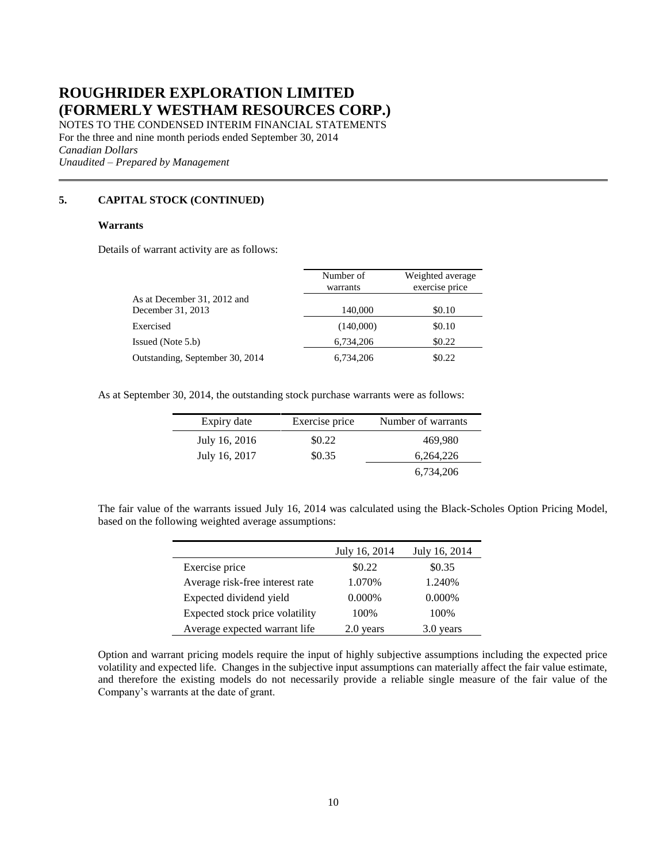NOTES TO THE CONDENSED INTERIM FINANCIAL STATEMENTS For the three and nine month periods ended September 30, 2014 *Canadian Dollars Unaudited – Prepared by Management*

### **5. CAPITAL STOCK (CONTINUED)**

### **Warrants**

Details of warrant activity are as follows:

|                                                  | Number of<br>warrants | Weighted average<br>exercise price |
|--------------------------------------------------|-----------------------|------------------------------------|
| As at December 31, 2012 and<br>December 31, 2013 | 140,000               | \$0.10                             |
| Exercised                                        | (140,000)             | \$0.10                             |
| Issued (Note 5.b)                                | 6,734,206             | \$0.22                             |
| Outstanding, September 30, 2014                  | 6,734,206             | \$0.22                             |

As at September 30, 2014, the outstanding stock purchase warrants were as follows:

| Expiry date   | Exercise price | Number of warrants |
|---------------|----------------|--------------------|
| July 16, 2016 | \$0.22         | 469,980            |
| July 16, 2017 | \$0.35         | 6,264,226          |
|               |                | 6,734,206          |

The fair value of the warrants issued July 16, 2014 was calculated using the Black-Scholes Option Pricing Model, based on the following weighted average assumptions:

|                                 | July 16, 2014 | July 16, 2014 |
|---------------------------------|---------------|---------------|
| Exercise price                  | \$0.22        | \$0.35        |
| Average risk-free interest rate | 1.070%        | 1.240%        |
| Expected dividend yield         | 0.000%        | 0.000%        |
| Expected stock price volatility | 100%          | 100%          |
| Average expected warrant life   | 2.0 years     | 3.0 years     |

Option and warrant pricing models require the input of highly subjective assumptions including the expected price volatility and expected life. Changes in the subjective input assumptions can materially affect the fair value estimate, and therefore the existing models do not necessarily provide a reliable single measure of the fair value of the Company's warrants at the date of grant.